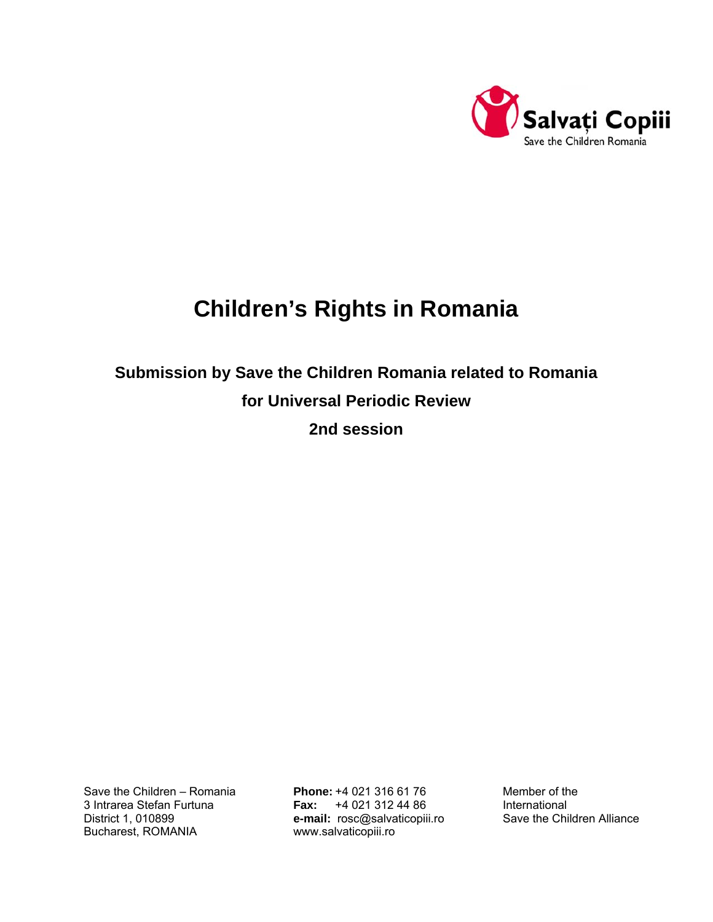

## **Children's Rights in Romania**

# **Submission by Save the Children Romania related to Romania for Universal Periodic Review**

**2nd session** 

Bucharest, ROMANIA [www.salvaticopiii.ro](http://www.salvaticopiii.ro/)

Save the Children – Romania **Phone:** +4 021 316 61 76 Member of the 3 Intrarea Stefan Furtuna **Fax:** +4 021 312 44 86 International District 1, 010899 **e-mail:** [rosc@salvaticopiii.ro](mailto:rosc@salvaticopiii.ro) Save the Children Alliance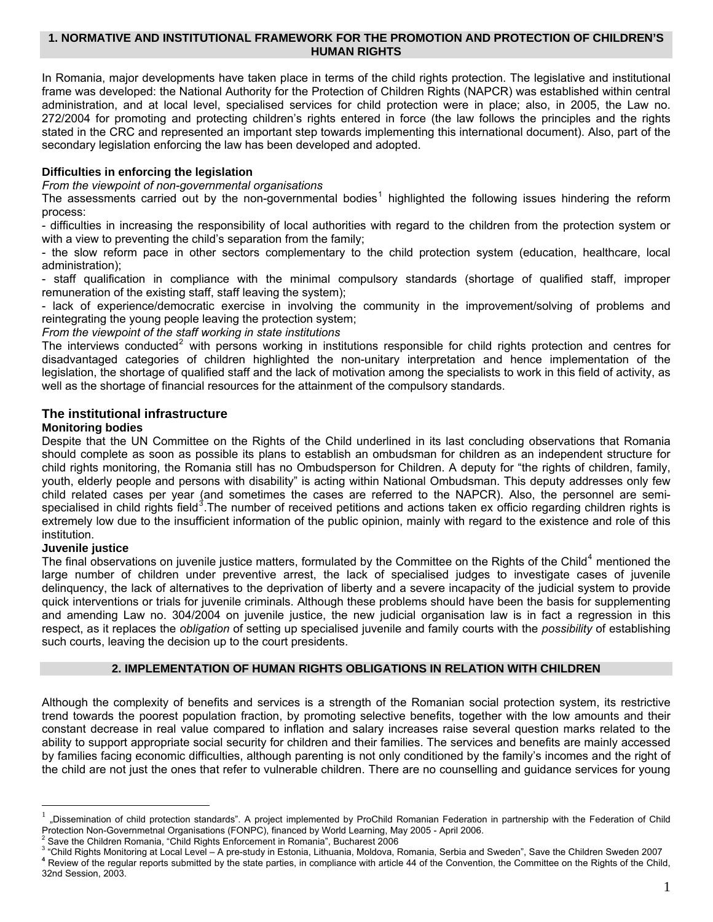## **1. NORMATIVE AND INSTITUTIONAL FRAMEWORK FOR THE PROMOTION AND PROTECTION OF CHILDREN'S HUMAN RIGHTS**

In Romania, major developments have taken place in terms of the child rights protection. The legislative and institutional frame was developed: the National Authority for the Protection of Children Rights (NAPCR) was established within central administration, and at local level, specialised services for child protection were in place; also, in 2005, the Law no. 272/2004 for promoting and protecting children's rights entered in force (the law follows the principles and the rights stated in the CRC and represented an important step towards implementing this international document). Also, part of the secondary legislation enforcing the law has been developed and adopted.

## **Difficulties in enforcing the legislation**

#### *From the viewpoint of non-governmental organisations*

The assessments carried out by the non-governmental bodies<sup>[1](#page-1-0)</sup> highlighted the following issues hindering the reform process:

- difficulties in increasing the responsibility of local authorities with regard to the children from the protection system or with a view to preventing the child's separation from the family;

- the slow reform pace in other sectors complementary to the child protection system (education, healthcare, local administration);

- staff qualification in compliance with the minimal compulsory standards (shortage of qualified staff, improper remuneration of the existing staff, staff leaving the system);

- lack of experience/democratic exercise in involving the community in the improvement/solving of problems and reintegrating the young people leaving the protection system;

#### *From the viewpoint of the staff working in state institutions*

The interviews conducted<sup>[2](#page-1-1)</sup> with persons working in institutions responsible for child rights protection and centres for disadvantaged categories of children highlighted the non-unitary interpretation and hence implementation of the legislation, the shortage of qualified staff and the lack of motivation among the specialists to work in this field of activity, as well as the shortage of financial resources for the attainment of the compulsory standards.

## **The institutional infrastructure**

#### **Monitoring bodies**

Despite that the UN Committee on the Rights of the Child underlined in its last concluding observations that Romania should complete as soon as possible its plans to establish an ombudsman for children as an independent structure for child rights monitoring, the Romania still has no Ombudsperson for Children. A deputy for "the rights of children, family, youth, elderly people and persons with disability" is acting within National Ombudsman. This deputy addresses only few child related cases per year (and sometimes the cases are referred to the NAPCR). Also, the personnel are semi-specialised in child rights field<sup>[3](#page-1-2)</sup>. The number of received petitions and actions taken ex officio regarding children rights is extremely low due to the insufficient information of the public opinion, mainly with regard to the existence and role of this institution.

#### **Juvenile justice**

 $\overline{a}$ 

The final observations on juvenile justice matters, formulated by the Committee on the Rights of the Child<sup>[4](#page-1-3)</sup> mentioned the large number of children under preventive arrest, the lack of specialised judges to investigate cases of juvenile delinquency, the lack of alternatives to the deprivation of liberty and a severe incapacity of the judicial system to provide quick interventions or trials for juvenile criminals. Although these problems should have been the basis for supplementing and amending Law no. 304/2004 on juvenile justice, the new judicial organisation law is in fact a regression in this respect, as it replaces the *obligation* of setting up specialised juvenile and family courts with the *possibility* of establishing such courts, leaving the decision up to the court presidents.

## **2. IMPLEMENTATION OF HUMAN RIGHTS OBLIGATIONS IN RELATION WITH CHILDREN**

Although the complexity of benefits and services is a strength of the Romanian social protection system, its restrictive trend towards the poorest population fraction, by promoting selective benefits, together with the low amounts and their constant decrease in real value compared to inflation and salary increases raise several question marks related to the ability to support appropriate social security for children and their families. The services and benefits are mainly accessed by families facing economic difficulties, although parenting is not only conditioned by the family's incomes and the right of the child are not just the ones that refer to vulnerable children. There are no counselling and guidance services for young

<span id="page-1-0"></span><sup>1</sup> "Dissemination of child protection standards". A project implemented by ProChild Romanian Federation in partnership with the Federation of Child Protection Non-Governmetnal Organisations (FONPC), financed by World Learning, May 2005 - April 2006. <sup>2</sup>

<span id="page-1-1"></span>Save the Children Romania, "Child Rights Enforcement in Romania", Bucharest 2006

<span id="page-1-3"></span><span id="page-1-2"></span><sup>&</sup>quot;Child Rights Monitoring at Local Level – A pre-study in Estonia, Lithuania, Moldova, Romania, Serbia and Sweden", Save the Children Sweden 2007 4 Review of the regular reports submitted by the state parties, in compliance with article 44 of the Convention, the Committee on the Rights of the Child, 32nd Session, 2003.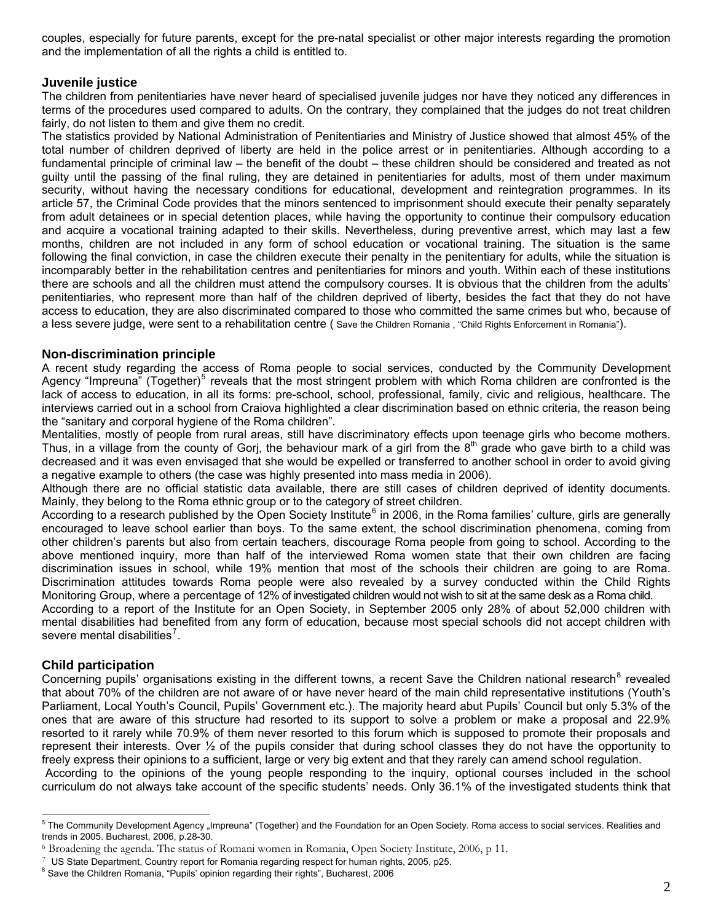couples, especially for future parents, except for the pre-natal specialist or other major interests regarding the promotion and the implementation of all the rights a child is entitled to.

## **Juvenile justice**

The children from penitentiaries have never heard of specialised juvenile judges nor have they noticed any differences in terms of the procedures used compared to adults. On the contrary, they complained that the judges do not treat children fairly, do not listen to them and give them no credit.

The statistics provided by National Administration of Penitentiaries and Ministry of Justice showed that almost 45% of the total number of children deprived of liberty are held in the police arrest or in penitentiaries. Although according to a fundamental principle of criminal law – the benefit of the doubt – these children should be considered and treated as not guilty until the passing of the final ruling, they are detained in penitentiaries for adults, most of them under maximum security, without having the necessary conditions for educational, development and reintegration programmes. In its article 57, the Criminal Code provides that the minors sentenced to imprisonment should execute their penalty separately from adult detainees or in special detention places, while having the opportunity to continue their compulsory education and acquire a vocational training adapted to their skills. Nevertheless, during preventive arrest, which may last a few months, children are not included in any form of school education or vocational training. The situation is the same following the final conviction, in case the children execute their penalty in the penitentiary for adults, while the situation is incomparably better in the rehabilitation centres and penitentiaries for minors and youth. Within each of these institutions there are schools and all the children must attend the compulsory courses. It is obvious that the children from the adults' penitentiaries, who represent more than half of the children deprived of liberty, besides the fact that they do not have access to education, they are also discriminated compared to those who committed the same crimes but who, because of a less severe judge, were sent to a rehabilitation centre ( Save the Children Romania , "Child Rights Enforcement in Romania").

## **Non-discrimination principle**

A recent study regarding the access of Roma people to social services, conducted by the Community Development Agency "Impreuna" (Together)<sup>[5](#page-2-0)</sup> reveals that the most stringent problem with which Roma children are confronted is the lack of access to education, in all its forms: pre-school, school, professional, family, civic and religious, healthcare. The interviews carried out in a school from Craiova highlighted a clear discrimination based on ethnic criteria, the reason being the "sanitary and corporal hygiene of the Roma children".

Mentalities, mostly of people from rural areas, still have discriminatory effects upon teenage girls who become mothers. Thus, in a village from the county of Gorj, the behaviour mark of a girl from the  $8<sup>th</sup>$  grade who gave birth to a child was decreased and it was even envisaged that she would be expelled or transferred to another school in order to avoid giving a negative example to others (the case was highly presented into mass media in 2006).

Although there are no official statistic data available, there are still cases of children deprived of identity documents. Mainly, they belong to the Roma ethnic group or to the category of street children.

According to a research published by the Open Society Institute<sup>[6](#page-2-1)</sup> in 2006, in the Roma families' culture, girls are generally encouraged to leave school earlier than boys. To the same extent, the school discrimination phenomena, coming from other children's parents but also from certain teachers, discourage Roma people from going to school. According to the above mentioned inquiry, more than half of the interviewed Roma women state that their own children are facing discrimination issues in school, while 19% mention that most of the schools their children are going to are Roma. Discrimination attitudes towards Roma people were also revealed by a survey conducted within the Child Rights Monitoring Group, where a percentage of 12% of investigated children would not wish to sit at the same desk as a Roma child.

According to a report of the Institute for an Open Society, in September 2005 only 28% of about 52,000 children with mental disabilities had benefited from any form of education, because most special schools did not accept children with severe mental disabilities<sup>[7](#page-2-2)</sup>.

## **Child participation**

Concerning pupils' organisations existing in the different towns, a recent Save the Children national research<sup>[8](#page-2-3)</sup> revealed that about 70% of the children are not aware of or have never heard of the main child representative institutions (Youth's Parliament, Local Youth's Council, Pupils' Government etc.). The majority heard abut Pupils' Council but only 5.3% of the ones that are aware of this structure had resorted to its support to solve a problem or make a proposal and 22.9% resorted to it rarely while 70.9% of them never resorted to this forum which is supposed to promote their proposals and represent their interests. Over ½ of the pupils consider that during school classes they do not have the opportunity to freely express their opinions to a sufficient, large or very big extent and that they rarely can amend school regulation.

According to the opinions of the young people responding to the inquiry, optional courses included in the school curriculum do not always take account of the specific students' needs. Only 36.1% of the investigated students think that

<span id="page-2-0"></span> 5 The Community Development Agency "Impreuna" (Together) and the Foundation for an Open Society. Roma access to social services. Realities and trends in 2005. Bucharest, 2006, p.28-30.

<span id="page-2-1"></span><sup>&</sup>lt;sup>6</sup> Broadening the agenda. The status of Romani women in Romania, Open Society Institute, 2006, p 11. <sup>7</sup> US State Department, Country report for Romania regarding respect for human rights, 2005, p25.

<span id="page-2-2"></span>

<span id="page-2-3"></span><sup>&</sup>lt;sup>8</sup> Save the Children Romania, "Pupils' opinion regarding their rights", Bucharest, 2006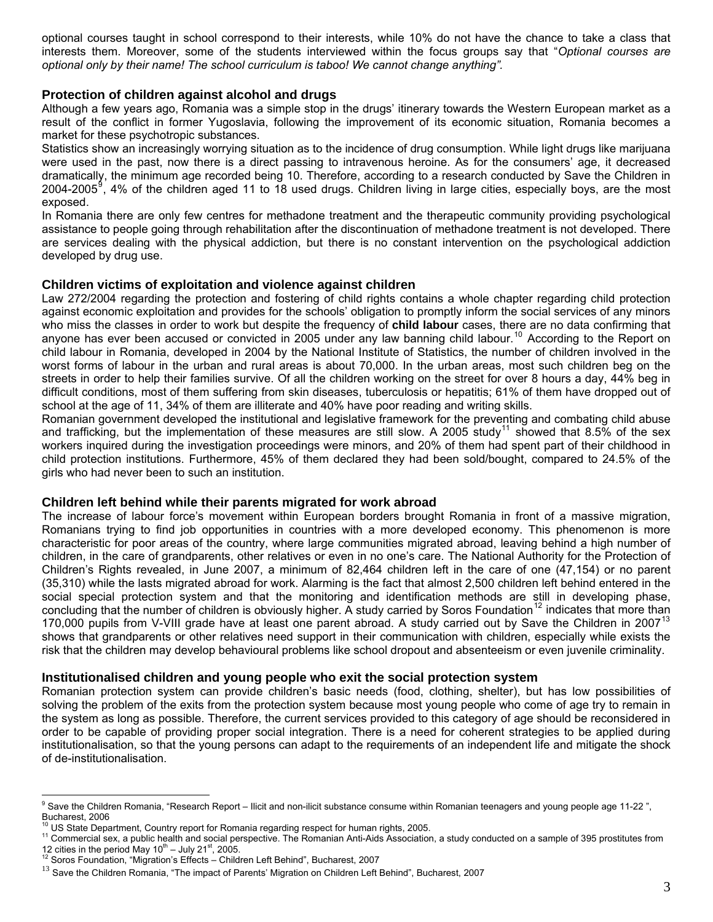optional courses taught in school correspond to their interests, while 10% do not have the chance to take a class that interests them. Moreover, some of the students interviewed within the focus groups say that "*Optional courses are optional only by their name! The school curriculum is taboo! We cannot change anything".* 

#### **Protection of children against alcohol and drugs**

Although a few years ago, Romania was a simple stop in the drugs' itinerary towards the Western European market as a result of the conflict in former Yugoslavia, following the improvement of its economic situation, Romania becomes a market for these psychotropic substances.

Statistics show an increasingly worrying situation as to the incidence of drug consumption. While light drugs like marijuana were used in the past, now there is a direct passing to intravenous heroine. As for the consumers' age, it decreased dramatically, the minimum age recorded being 10. Therefore, according to a research conducted by Save the Children in 2004-2005<sup>[9](#page-3-0)</sup>, 4% of the children aged 11 to 18 used drugs. Children living in large cities, especially boys, are the most exposed.

In Romania there are only few centres for methadone treatment and the therapeutic community providing psychological assistance to people going through rehabilitation after the discontinuation of methadone treatment is not developed. There are services dealing with the physical addiction, but there is no constant intervention on the psychological addiction developed by drug use.

#### **Children victims of exploitation and violence against children**

Law 272/2004 regarding the protection and fostering of child rights contains a whole chapter regarding child protection against economic exploitation and provides for the schools' obligation to promptly inform the social services of any minors who miss the classes in order to work but despite the frequency of **child labour** cases, there are no data confirming that anyone has ever been accused or convicted in 2005 under any law banning child labour.<sup>[10](#page-3-1)</sup> According to the Report on child labour in Romania, developed in 2004 by the National Institute of Statistics, the number of children involved in the worst forms of labour in the urban and rural areas is about 70,000. In the urban areas, most such children beg on the streets in order to help their families survive. Of all the children working on the street for over 8 hours a day, 44% beg in difficult conditions, most of them suffering from skin diseases, tuberculosis or hepatitis; 61% of them have dropped out of school at the age of 11, 34% of them are illiterate and 40% have poor reading and writing skills.

Romanian government developed the institutional and legislative framework for the preventing and combating child abuse and trafficking, but the implementation of these measures are still slow. A 2005 study<sup>[11](#page-3-2)</sup> showed that 8.5% of the sex workers inquired during the investigation proceedings were minors, and 20% of them had spent part of their childhood in child protection institutions. Furthermore, 45% of them declared they had been sold/bought, compared to 24.5% of the girls who had never been to such an institution.

## **Children left behind while their parents migrated for work abroad**

The increase of labour force's movement within European borders brought Romania in front of a massive migration, Romanians trying to find job opportunities in countries with a more developed economy. This phenomenon is more characteristic for poor areas of the country, where large communities migrated abroad, leaving behind a high number of children, in the care of grandparents, other relatives or even in no one's care. The National Authority for the Protection of Children's Rights revealed, in June 2007, a minimum of 82,464 children left in the care of one (47,154) or no parent (35,310) while the lasts migrated abroad for work. Alarming is the fact that almost 2,500 children left behind entered in the social special protection system and that the monitoring and identification methods are still in developing phase, concluding that the number of children is obviously higher. A study carried by Soros Foundation<sup>[12](#page-3-3)</sup> indicates that more than 170,000 pupils from V-VIII grade have at least one parent abroad. A study carried out by Save the Children in 2007<sup>[13](#page-3-4)</sup> shows that grandparents or other relatives need support in their communication with children, especially while exists the risk that the children may develop behavioural problems like school dropout and absenteeism or even juvenile criminality.

## **Institutionalised children and young people who exit the social protection system**

Romanian protection system can provide children's basic needs (food, clothing, shelter), but has low possibilities of solving the problem of the exits from the protection system because most young people who come of age try to remain in the system as long as possible. Therefore, the current services provided to this category of age should be reconsidered in order to be capable of providing proper social integration. There is a need for coherent strategies to be applied during institutionalisation, so that the young persons can adapt to the requirements of an independent life and mitigate the shock of de-institutionalisation.

 9 Save the Children Romania, "Research Report – Ilicit and non-ilicit substance consume within Romanian teenagers and young people age 11-22 ",

<span id="page-3-0"></span>Bucharest, 2006<br><sup>10</sup> US State Department, Country report for Romania regarding respect for human rights, 2005.

<span id="page-3-2"></span><span id="page-3-1"></span><sup>&</sup>lt;sup>11</sup> Commercial sex, a public health and social perspective. The Romanian Anti-Aids Association, a study conducted on a sample of 395 prostitutes from 12 cities in the period May  $10^{\text{th}}$  – July 21<sup>st</sup>, 2005.<br><sup>12</sup> Soros Foundation, "Migration's Effects – Children Left Behind", Bucharest, 2007

<span id="page-3-4"></span><span id="page-3-3"></span><sup>&</sup>lt;sup>13</sup> Save the Children Romania, "The impact of Parents' Migration on Children Left Behind", Bucharest, 2007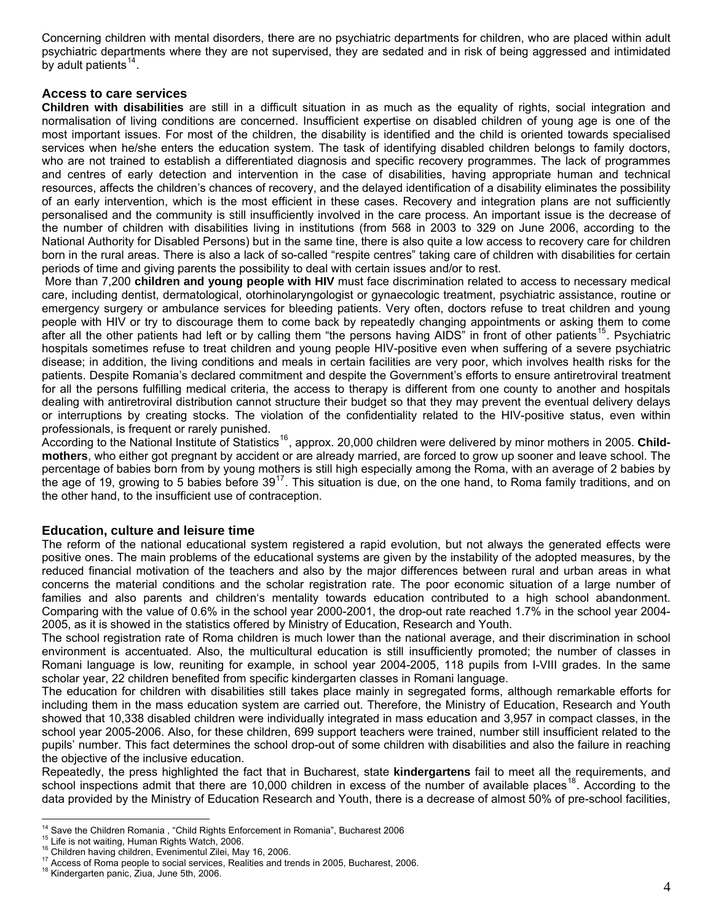Concerning children with mental disorders, there are no psychiatric departments for children, who are placed within adult psychiatric departments where they are not supervised, they are sedated and in risk of being aggressed and intimidated by adult patients<sup>[14](#page-4-0)</sup>.

## **Access to care services**

**Children with disabilities** are still in a difficult situation in as much as the equality of rights, social integration and normalisation of living conditions are concerned. Insufficient expertise on disabled children of young age is one of the most important issues. For most of the children, the disability is identified and the child is oriented towards specialised services when he/she enters the education system. The task of identifying disabled children belongs to family doctors, who are not trained to establish a differentiated diagnosis and specific recovery programmes. The lack of programmes and centres of early detection and intervention in the case of disabilities, having appropriate human and technical resources, affects the children's chances of recovery, and the delayed identification of a disability eliminates the possibility of an early intervention, which is the most efficient in these cases. Recovery and integration plans are not sufficiently personalised and the community is still insufficiently involved in the care process. An important issue is the decrease of the number of children with disabilities living in institutions (from 568 in 2003 to 329 on June 2006, according to the National Authority for Disabled Persons) but in the same tine, there is also quite a low access to recovery care for children born in the rural areas. There is also a lack of so-called "respite centres" taking care of children with disabilities for certain periods of time and giving parents the possibility to deal with certain issues and/or to rest.

More than 7,200 **children and young people with HIV** must face discrimination related to access to necessary medical care, including dentist, dermatological, otorhinolaryngologist or gynaecologic treatment, psychiatric assistance, routine or emergency surgery or ambulance services for bleeding patients. Very often, doctors refuse to treat children and young people with HIV or try to discourage them to come back by repeatedly changing appointments or asking them to come after all the other patients had left or by calling them "the persons having AIDS" in front of other patients<sup>[15](#page-4-1)</sup>. Psychiatric hospitals sometimes refuse to treat children and young people HIV-positive even when suffering of a severe psychiatric disease; in addition, the living conditions and meals in certain facilities are very poor, which involves health risks for the patients. Despite Romania's declared commitment and despite the Government's efforts to ensure antiretroviral treatment for all the persons fulfilling medical criteria, the access to therapy is different from one county to another and hospitals dealing with antiretroviral distribution cannot structure their budget so that they may prevent the eventual delivery delays or interruptions by creating stocks. The violation of the confidentiality related to the HIV-positive status, even within professionals, is frequent or rarely punished.

According to the National Institute of Statistics<sup>[16](#page-4-2)</sup>, approx. 20,000 children were delivered by minor mothers in 2005. Child**mothers**, who either got pregnant by accident or are already married, are forced to grow up sooner and leave school. The percentage of babies born from by young mothers is still high especially among the Roma, with an average of 2 babies by the age of 19, growing to 5 babies before  $39^{17}$  $39^{17}$  $39^{17}$ . This situation is due, on the one hand, to Roma family traditions, and on the other hand, to the insufficient use of contraception.

## **Education, culture and leisure time**

The reform of the national educational system registered a rapid evolution, but not always the generated effects were positive ones. The main problems of the educational systems are given by the instability of the adopted measures, by the reduced financial motivation of the teachers and also by the major differences between rural and urban areas in what concerns the material conditions and the scholar registration rate. The poor economic situation of a large number of families and also parents and children's mentality towards education contributed to a high school abandonment. Comparing with the value of 0.6% in the school year 2000-2001, the drop-out rate reached 1.7% in the school year 2004- 2005, as it is showed in the statistics offered by Ministry of Education, Research and Youth.

The school registration rate of Roma children is much lower than the national average, and their discrimination in school environment is accentuated. Also, the multicultural education is still insufficiently promoted; the number of classes in Romani language is low, reuniting for example, in school year 2004-2005, 118 pupils from I-VIII grades. In the same scholar year, 22 children benefited from specific kindergarten classes in Romani language.

The education for children with disabilities still takes place mainly in segregated forms, although remarkable efforts for including them in the mass education system are carried out. Therefore, the Ministry of Education, Research and Youth showed that 10,338 disabled children were individually integrated in mass education and 3,957 in compact classes, in the school year 2005-2006. Also, for these children, 699 support teachers were trained, number still insufficient related to the pupils' number. This fact determines the school drop-out of some children with disabilities and also the failure in reaching the objective of the inclusive education.

Repeatedly, the press highlighted the fact that in Bucharest, state **kindergartens** fail to meet all the requirements, and school inspections admit that there are 10,000 children in excess of the number of available places<sup>[18](#page-4-4)</sup>. According to the data provided by the Ministry of Education Research and Youth, there is a decrease of almost 50% of pre-school facilities,

<span id="page-4-0"></span> $\frac{14}{15}$  Save the Children Romania, "Child Rights Enforcement in Romania", Bucharest 2006

<span id="page-4-2"></span>

<span id="page-4-1"></span><sup>&</sup>lt;sup>15</sup> Life is not waiting, Human Rights Watch, 2006.<br><sup>16</sup> Children having children, Evenimentul Zilei, May 16, 2006.<br><sup>17</sup> Access of Roma people to social services, Realities and trends in 2005, Bucharest, 2006.<br><sup>18</sup> Kinder

<span id="page-4-4"></span><span id="page-4-3"></span>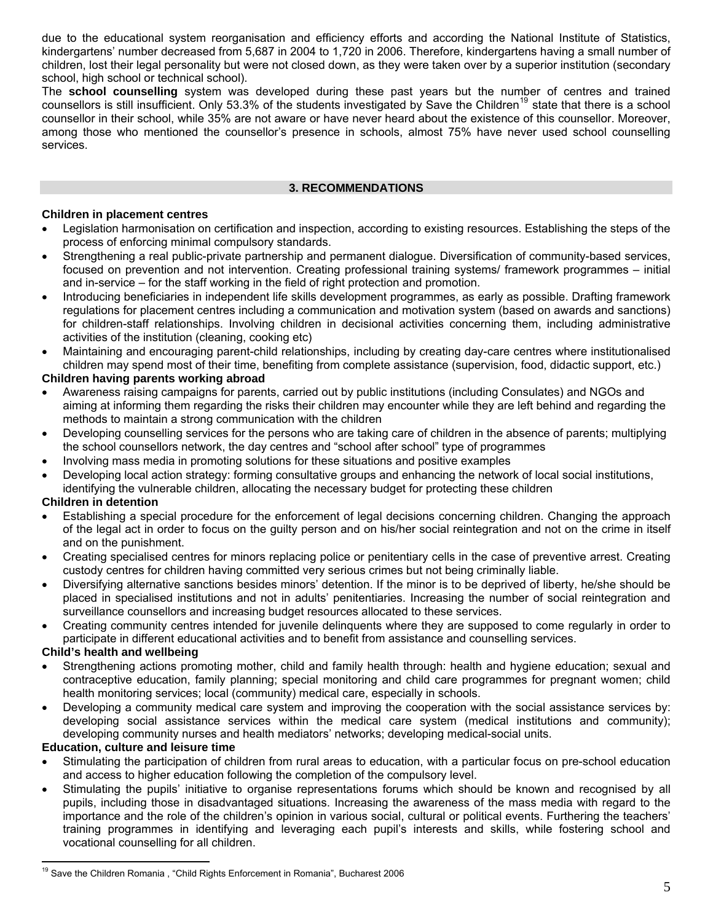due to the educational system reorganisation and efficiency efforts and according the National Institute of Statistics, kindergartens' number decreased from 5,687 in 2004 to 1,720 in 2006. Therefore, kindergartens having a small number of children, lost their legal personality but were not closed down, as they were taken over by a superior institution (secondary school, high school or technical school).

The **school counselling** system was developed during these past years but the number of centres and trained counsellors is still insufficient. Only 53.3% of the students investigated by Save the Children<sup>[19](#page-5-0)</sup> state that there is a school counsellor in their school, while 35% are not aware or have never heard about the existence of this counsellor. Moreover, among those who mentioned the counsellor's presence in schools, almost 75% have never used school counselling services.

## **3. RECOMMENDATIONS**

## **Children in placement centres**

- Legislation harmonisation on certification and inspection, according to existing resources. Establishing the steps of the process of enforcing minimal compulsory standards.
- Strengthening a real public-private partnership and permanent dialogue. Diversification of community-based services, focused on prevention and not intervention. Creating professional training systems/ framework programmes – initial and in-service – for the staff working in the field of right protection and promotion.
- Introducing beneficiaries in independent life skills development programmes, as early as possible. Drafting framework regulations for placement centres including a communication and motivation system (based on awards and sanctions) for children-staff relationships. Involving children in decisional activities concerning them, including administrative activities of the institution (cleaning, cooking etc)
- Maintaining and encouraging parent-child relationships, including by creating day-care centres where institutionalised children may spend most of their time, benefiting from complete assistance (supervision, food, didactic support, etc.)

## **Children having parents working abroad**

- Awareness raising campaigns for parents, carried out by public institutions (including Consulates) and NGOs and aiming at informing them regarding the risks their children may encounter while they are left behind and regarding the methods to maintain a strong communication with the children
- Developing counselling services for the persons who are taking care of children in the absence of parents; multiplying the school counsellors network, the day centres and "school after school" type of programmes
- Involving mass media in promoting solutions for these situations and positive examples
- Developing local action strategy: forming consultative groups and enhancing the network of local social institutions, identifying the vulnerable children, allocating the necessary budget for protecting these children

## **Children in detention**

- Establishing a special procedure for the enforcement of legal decisions concerning children. Changing the approach of the legal act in order to focus on the guilty person and on his/her social reintegration and not on the crime in itself and on the punishment.
- Creating specialised centres for minors replacing police or penitentiary cells in the case of preventive arrest. Creating custody centres for children having committed very serious crimes but not being criminally liable.
- Diversifying alternative sanctions besides minors' detention. If the minor is to be deprived of liberty, he/she should be placed in specialised institutions and not in adults' penitentiaries. Increasing the number of social reintegration and surveillance counsellors and increasing budget resources allocated to these services.
- Creating community centres intended for juvenile delinquents where they are supposed to come regularly in order to participate in different educational activities and to benefit from assistance and counselling services.

## **Child's health and wellbeing**

- Strengthening actions promoting mother, child and family health through: health and hygiene education; sexual and contraceptive education, family planning; special monitoring and child care programmes for pregnant women; child health monitoring services; local (community) medical care, especially in schools.
- Developing a community medical care system and improving the cooperation with the social assistance services by: developing social assistance services within the medical care system (medical institutions and community); developing community nurses and health mediators' networks; developing medical-social units.

## **Education, culture and leisure time**

- Stimulating the participation of children from rural areas to education, with a particular focus on pre-school education and access to higher education following the completion of the compulsory level.
- Stimulating the pupils' initiative to organise representations forums which should be known and recognised by all pupils, including those in disadvantaged situations. Increasing the awareness of the mass media with regard to the importance and the role of the children's opinion in various social, cultural or political events. Furthering the teachers' training programmes in identifying and leveraging each pupil's interests and skills, while fostering school and vocational counselling for all children.

<span id="page-5-0"></span> $\overline{a}$ <sup>19</sup> Save the Children Romania, "Child Rights Enforcement in Romania", Bucharest 2006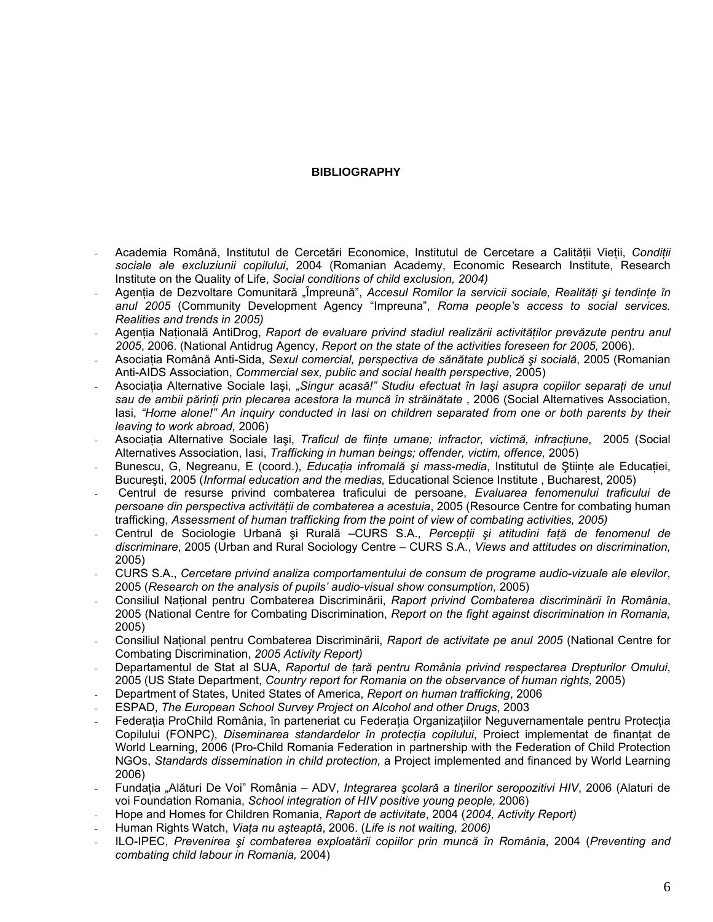## **BIBLIOGRAPHY**

- Academia Română, Institutul de Cercetări Economice, Institutul de Cercetare a Calităţii Vieţii, *Condiţii sociale ale excluziunii copilului*, 2004 (Romanian Academy, Economic Research Institute, Research Institute on the Quality of Life, *Social conditions of child exclusion, 2004)*
- Agenţia de Dezvoltare Comunitară "Împreună", *Accesul Romilor la servicii sociale, Realităţi şi tendinţe în anul 2005* (Community Development Agency "Impreuna", *Roma people's access to social services. Realities and trends in 2005)*
- Agenţia Naţională AntiDrog, *Raport de evaluare privind stadiul realizării activităţilor prevăzute pentru anul 2005*, 2006. (National Antidrug Agency, *Report on the state of the activities foreseen for 2005,* 2006).
- Asociaţia Română Anti-Sida, *Sexul comercial, perspectiva de sănătate publică şi socială*, 2005 (Romanian Anti-AIDS Association, *Commercial sex, public and social health perspective,* 2005)
- Asociaţia Alternative Sociale Iaşi, *"Singur acasă!" Studiu efectuat în Iaşi asupra copiilor separaţi de unul sau de ambii părinţi prin plecarea acestora la muncă în străinătate* , 2006 (Social Alternatives Association, Iasi, *"Home alone!" An inquiry conducted in Iasi on children separated from one or both parents by their leaving to work abroad,* 2006)
- Asociaţia Alternative Sociale Iaşi, *Traficul de fiinţe umane; infractor, victimă, infracţiune*, 2005 (Social Alternatives Association, Iasi, *Trafficking in human beings; offender, victim, offence,* 2005)
- Bunescu, G, Negreanu, E (coord.), *Educatia infromală și mass-media*, Institutul de Știinte ale Educatiei, Bucureşti, 2005 (*Informal education and the medias,* Educational Science Institute , Bucharest, 2005)
- Centrul de resurse privind combaterea traficului de persoane, *Evaluarea fenomenului traficului de persoane din perspectiva activităţii de combaterea a acestuia*, 2005 (Resource Centre for combating human trafficking, *Assessment of human trafficking from the point of view of combating activities, 2005)*
- Centrul de Sociologie Urbană şi Rurală –CURS S.A., *Percepţii şi atitudini faţă de fenomenul de discriminare*, 2005 (Urban and Rural Sociology Centre – CURS S.A., *Views and attitudes on discrimination,*  2005)
- CURS S.A., *Cercetare privind analiza comportamentului de consum de programe audio-vizuale ale elevilor*, 2005 (*Research on the analysis of pupils' audio-visual show consumption,* 2005)
- Consiliul Naţional pentru Combaterea Discriminării, *Raport privind Combaterea discriminării în România*, 2005 (National Centre for Combating Discrimination, *Report on the fight against discrimination in Romania,*  2005)
- Consiliul Naţional pentru Combaterea Discriminării, *Raport de activitate pe anul 2005* (National Centre for Combating Discrimination, *2005 Activity Report)*
- Departamentul de Stat al SUA, *Raportul de ţară pentru România privind respectarea Drepturilor Omului*, 2005 (US State Department, *Country report for Romania on the observance of human rights,* 2005)
- Department of States, United States of America, *Report on human trafficking*, 2006
- ESPAD, *The European School Survey Project on Alcohol and other Drugs*, 2003
- Federatia ProChild România, în parteneriat cu Federația Organizațiilor Neguvernamentale pentru Protecția Copilului (FONPC), *Diseminarea standardelor în protecţia copilului*, Proiect implementat de finanţat de World Learning, 2006 (Pro-Child Romania Federation in partnership with the Federation of Child Protection NGOs, *Standards dissemination in child protection,* a Project implemented and financed by World Learning 2006)
- Fundaţia "Alături De Voi" România ADV, *Integrarea şcolară a tinerilor seropozitivi HIV*, 2006 (Alaturi de voi Foundation Romania, *School integration of HIV positive young people,* 2006)
- Hope and Homes for Children Romania, *Raport de activitate*, 2004 (*2004, Activity Report)*
- Human Rights Watch, *Viaţa nu aşteaptă*, 2006. (*Life is not waiting, 2006)*
- ILO-IPEC, *Prevenirea şi combaterea exploatării copiilor prin muncă în România*, 2004 (*Preventing and combating child labour in Romania,* 2004)